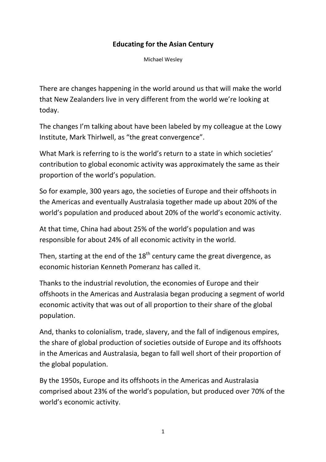## **Educating for the Asian Century**

Michael Wesley

There are changes happening in the world around us that will make the world that New Zealanders live in very different from the world we're looking at today.

The changes I'm talking about have been labeled by my colleague at the Lowy Institute, Mark Thirlwell, as "the great convergence".

What Mark is referring to is the world's return to a state in which societies' contribution to global economic activity was approximately the same as their proportion of the world's population.

So for example, 300 years ago, the societies of Europe and their offshoots in the Americas and eventually Australasia together made up about 20% of the world's population and produced about 20% of the world's economic activity.

At that time, China had about 25% of the world's population and was responsible for about 24% of all economic activity in the world.

Then, starting at the end of the  $18<sup>th</sup>$  century came the great divergence, as economic historian Kenneth Pomeranz has called it.

Thanks to the industrial revolution, the economies of Europe and their offshoots in the Americas and Australasia began producing a segment of world economic activity that was out of all proportion to their share of the global population.

And, thanks to colonialism, trade, slavery, and the fall of indigenous empires, the share of global production of societies outside of Europe and its offshoots in the Americas and Australasia, began to fall well short of their proportion of the global population.

By the 1950s, Europe and its offshoots in the Americas and Australasia comprised about 23% of the world's population, but produced over 70% of the world's economic activity.

1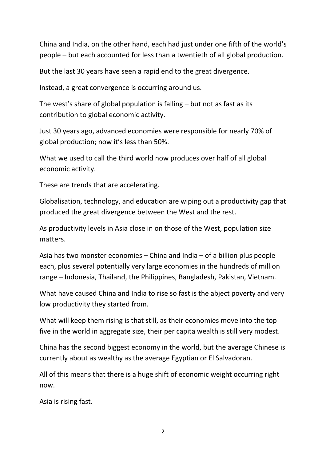China and India, on the other hand, each had just under one fifth of the world's people – but each accounted for less than a twentieth of all global production.

But the last 30 years have seen a rapid end to the great divergence.

Instead, a great convergence is occurring around us.

The west's share of global population is falling – but not as fast as its contribution to global economic activity.

Just 30 years ago, advanced economies were responsible for nearly 70% of global production; now it's less than 50%.

What we used to call the third world now produces over half of all global economic activity.

These are trends that are accelerating.

Globalisation, technology, and education are wiping out a productivity gap that produced the great divergence between the West and the rest.

As productivity levels in Asia close in on those of the West, population size matters.

Asia has two monster economies – China and India – of a billion plus people each, plus several potentially very large economies in the hundreds of million range – Indonesia, Thailand, the Philippines, Bangladesh, Pakistan, Vietnam.

What have caused China and India to rise so fast is the abject poverty and very low productivity they started from.

What will keep them rising is that still, as their economies move into the top five in the world in aggregate size, their per capita wealth is still very modest.

China has the second biggest economy in the world, but the average Chinese is currently about as wealthy as the average Egyptian or El Salvadoran.

All of this means that there is a huge shift of economic weight occurring right now.

Asia is rising fast.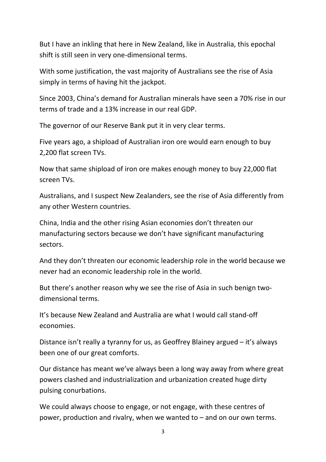But I have an inkling that here in New Zealand, like in Australia, this epochal shift is still seen in very one‐dimensional terms.

With some justification, the vast majority of Australians see the rise of Asia simply in terms of having hit the jackpot.

Since 2003, China's demand for Australian minerals have seen a 70% rise in our terms of trade and a 13% increase in our real GDP.

The governor of our Reserve Bank put it in very clear terms.

Five years ago, a shipload of Australian iron ore would earn enough to buy 2,200 flat screen TVs.

Now that same shipload of iron ore makes enough money to buy 22,000 flat screen TVs.

Australians, and I suspect New Zealanders, see the rise of Asia differently from any other Western countries.

China, India and the other rising Asian economies don't threaten our manufacturing sectors because we don't have significant manufacturing sectors.

And they don't threaten our economic leadership role in the world because we never had an economic leadership role in the world.

But there's another reason why we see the rise of Asia in such benign two‐ dimensional terms.

It's because New Zealand and Australia are what I would call stand‐off economies.

Distance isn't really a tyranny for us, as Geoffrey Blainey argued – it's always been one of our great comforts.

Our distance has meant we've always been a long way away from where great powers clashed and industrialization and urbanization created huge dirty pulsing conurbations.

We could always choose to engage, or not engage, with these centres of power, production and rivalry, when we wanted to – and on our own terms.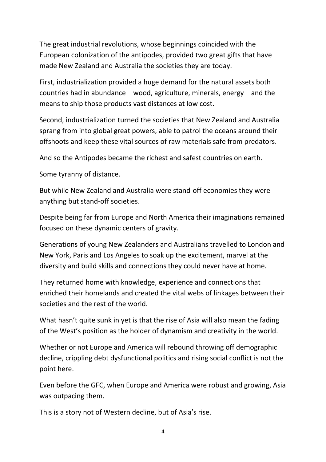The great industrial revolutions, whose beginnings coincided with the European colonization of the antipodes, provided two great gifts that have made New Zealand and Australia the societies they are today.

First, industrialization provided a huge demand for the natural assets both countries had in abundance – wood, agriculture, minerals, energy – and the means to ship those products vast distances at low cost.

Second, industrialization turned the societies that New Zealand and Australia sprang from into global great powers, able to patrol the oceans around their offshoots and keep these vital sources of raw materials safe from predators.

And so the Antipodes became the richest and safest countries on earth.

Some tyranny of distance.

But while New Zealand and Australia were stand‐off economies they were anything but stand‐off societies.

Despite being far from Europe and North America their imaginations remained focused on these dynamic centers of gravity.

Generations of young New Zealanders and Australians travelled to London and New York, Paris and Los Angeles to soak up the excitement, marvel at the diversity and build skills and connections they could never have at home.

They returned home with knowledge, experience and connections that enriched their homelands and created the vital webs of linkages between their societies and the rest of the world.

What hasn't quite sunk in yet is that the rise of Asia will also mean the fading of the West's position as the holder of dynamism and creativity in the world.

Whether or not Europe and America will rebound throwing off demographic decline, crippling debt dysfunctional politics and rising social conflict is not the point here.

Even before the GFC, when Europe and America were robust and growing, Asia was outpacing them.

This is a story not of Western decline, but of Asia's rise.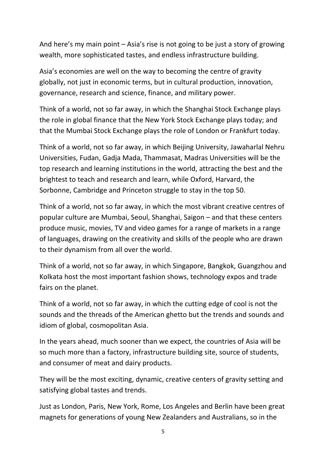And here's my main point – Asia's rise is not going to be just a story of growing wealth, more sophisticated tastes, and endless infrastructure building.

Asia's economies are well on the way to becoming the centre of gravity globally, not just in economic terms, but in cultural production, innovation, governance, research and science, finance, and military power.

Think of a world, not so far away, in which the Shanghai Stock Exchange plays the role in global finance that the New York Stock Exchange plays today; and that the Mumbai Stock Exchange plays the role of London or Frankfurt today.

Think of a world, not so far away, in which Beijing University, Jawaharlal Nehru Universities, Fudan, Gadja Mada, Thammasat, Madras Universities will be the top research and learning institutions in the world, attracting the best and the brightest to teach and research and learn, while Oxford, Harvard, the Sorbonne, Cambridge and Princeton struggle to stay in the top 50.

Think of a world, not so far away, in which the most vibrant creative centres of popular culture are Mumbai, Seoul, Shanghai, Saigon – and that these centers produce music, movies, TV and video games for a range of markets in a range of languages, drawing on the creativity and skills of the people who are drawn to their dynamism from all over the world.

Think of a world, not so far away, in which Singapore, Bangkok, Guangzhou and Kolkata host the most important fashion shows, technology expos and trade fairs on the planet.

Think of a world, not so far away, in which the cutting edge of cool is not the sounds and the threads of the American ghetto but the trends and sounds and idiom of global, cosmopolitan Asia.

In the years ahead, much sooner than we expect, the countries of Asia will be so much more than a factory, infrastructure building site, source of students, and consumer of meat and dairy products.

They will be the most exciting, dynamic, creative centers of gravity setting and satisfying global tastes and trends.

Just as London, Paris, New York, Rome, Los Angeles and Berlin have been great magnets for generations of young New Zealanders and Australians, so in the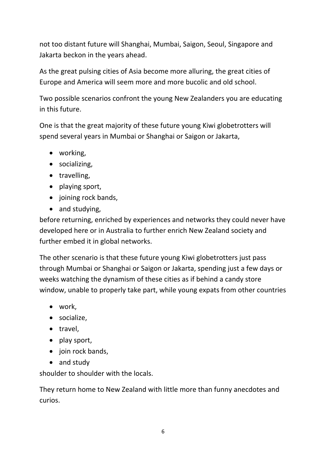not too distant future will Shanghai, Mumbai, Saigon, Seoul, Singapore and Jakarta beckon in the years ahead.

As the great pulsing cities of Asia become more alluring, the great cities of Europe and America will seem more and more bucolic and old school.

Two possible scenarios confront the young New Zealanders you are educating in this future.

One is that the great majority of these future young Kiwi globetrotters will spend several years in Mumbai or Shanghai or Saigon or Jakarta,

- working,
- socializing,
- travelling,
- playing sport,
- joining rock bands,
- and studying,

before returning, enriched by experiences and networks they could never have developed here or in Australia to further enrich New Zealand society and further embed it in global networks.

The other scenario is that these future young Kiwi globetrotters just pass through Mumbai or Shanghai or Saigon or Jakarta, spending just a few days or weeks watching the dynamism of these cities as if behind a candy store window, unable to properly take part, while young expats from other countries

- work,
- socialize.
- travel,
- play sport,
- join rock bands,
- and study

shoulder to shoulder with the locals.

They return home to New Zealand with little more than funny anecdotes and curios.